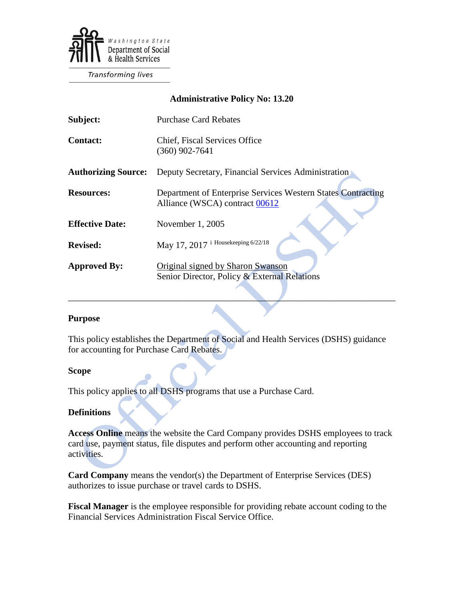

**Transforming lives** 

### **Administrative Policy No: 13.20**

| Subject:                   | <b>Purchase Card Rebates</b>                                                                   |
|----------------------------|------------------------------------------------------------------------------------------------|
| <b>Contact:</b>            | <b>Chief, Fiscal Services Office</b><br>$(360)$ 902-7641                                       |
| <b>Authorizing Source:</b> | Deputy Secretary, Financial Services Administration                                            |
| <b>Resources:</b>          | Department of Enterprise Services Western States Contracting<br>Alliance (WSCA) contract 00612 |
| <b>Effective Date:</b>     | November 1, 2005                                                                               |
| <b>Revised:</b>            | May 17, 2017 <sup>i Housekeeping 6/22/18</sup>                                                 |
| <b>Approved By:</b>        | Original signed by Sharon Swanson<br>Senior Director, Policy & External Relations              |

#### **Purpose**

This policy establishes the Department of Social and Health Services (DSHS) guidance for accounting for Purchase Card Rebates.

 $\mathcal{L} = \{ \mathcal{L} \mid \mathcal{L} \text{ is a constant, } \mathcal{L} \}$ 

#### **Scope**

This policy applies to all DSHS programs that use a Purchase Card.

### **Definitions**

**Access Online** means the website the Card Company provides DSHS employees to track card use, payment status, file disputes and perform other accounting and reporting activities.

**Card Company** means the vendor(s) the Department of Enterprise Services (DES) authorizes to issue purchase or travel cards to DSHS.

**Fiscal Manager** is the employee responsible for providing rebate account coding to the Financial Services Administration Fiscal Service Office.